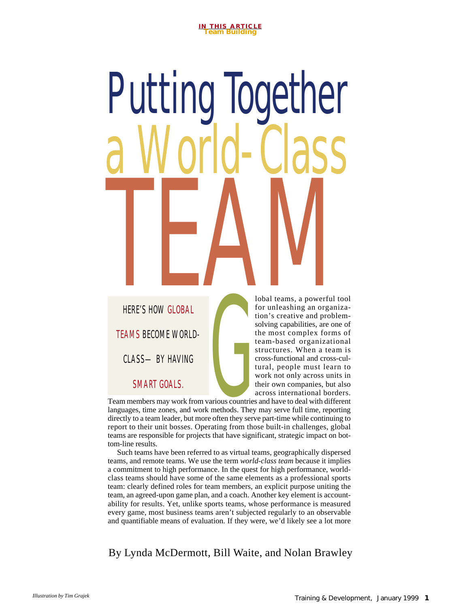# arious countries Putti a World-Class HERE'S HOW GLOBAL

HERE'S HOW GLOBAL TEAMS BECOME WORLD-CLASS—BY HAVING

SMART GOALS.

lobal teams, a powerful tool for unleashing an organization's creative and problemsolving capabilities, are one of the most complex forms of team-based organizational structures. When a team is cross-functional and cross-cultural, people must learn to work not only across units in their own companies, but also across international borders.

Team members may work from various countries and have to deal with different languages, time zones, and work methods. They may serve full time, reporting directly to a team leader, but more often they serve part-time while continuing to report to their unit bosses. Operating from those built-in challenges, global teams are responsible for projects that have significant, strategic impact on bottom-line results.

Such teams have been referred to as virtual teams, geographically dispersed teams, and remote teams. We use the term *world-class team* because it implies a commitment to high performance. In the quest for high performance, worldclass teams should have some of the same elements as a professional sports team: clearly defined roles for team members, an explicit purpose uniting the team, an agreed-upon game plan, and a coach. Another key element is accountability for results. Yet, unlike sports teams, whose performance is measured every game, most business teams aren't subjected regularly to an observable and quantifiable means of evaluation. If they were, we'd likely see a lot more

By Lynda McDermott, Bill Waite, and Nolan Brawley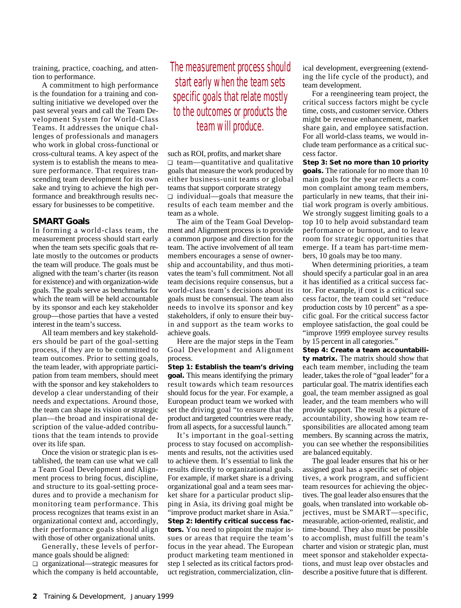training, practice, coaching, and attention to performance.

A commitment to high performance is the foundation for a training and consulting initiative we developed over the past several years and call the Team Development System for World-Class Teams. It addresses the unique challenges of professionals and managers who work in global cross-functional or cross-cultural teams. A key aspect of the system is to establish the means to measure performance. That requires transcending team development for its own sake and trying to achieve the high performance and breakthrough results necessary for businesses to be competitive.

# **SMART Goals**

In forming a world-class team, the measurement process should start early when the team sets specific goals that relate mostly to the outcomes or products the team will produce. The goals must be aligned with the team's charter (its reason for existence) and with organization-wide goals. The goals serve as benchmarks for which the team will be held accountable by its sponsor and each key stakeholder group—those parties that have a vested interest in the team's success.

All team members and key stakeholders should be part of the goal-setting process, if they are to be committed to team outcomes. Prior to setting goals, the team leader, with appropriate participation from team members, should meet with the sponsor and key stakeholders to develop a clear understanding of their needs and expectations. Around those, the team can shape its vision or strategic plan—the broad and inspirational description of the value-added contributions that the team intends to provide over its life span.

Once the vision or strategic plan is established, the team can use what we call a Team Goal Development and Alignment process to bring focus, discipline, and structure to its goal-setting procedures and to provide a mechanism for monitoring team performance. This process recognizes that teams exist in an organizational context and, accordingly, their performance goals should align with those of other organizational units.

Generally, these levels of performance goals should be aligned: ❑ organizational—strategic measures for which the company is held accountable,

# The measurement process should start early when the team sets specific goals that relate mostly to the outcomes or products the team will produce.

such as ROI, profits, and market share ❑ team—quantitative and qualitative goals that measure the work produced by either business-unit teams or global teams that support corporate strategy ❑ individual—goals that measure the results of each team member and the team as a whole.

The aim of the Team Goal Development and Alignment process is to provide a common purpose and direction for the team. The active involvement of all team members encourages a sense of ownership and accountability, and thus motivates the team's full commitment. Not all team decisions require consensus, but a world-class team's decisions about its goals must be consensual. The team also needs to involve its sponsor and key stakeholders, if only to ensure their buyin and support as the team works to achieve goals.

Here are the major steps in the Team Goal Development and Alignment process.

**Step 1: Establish the team's driving goal.** This means identifying the primary result towards which team resources should focus for the year. For example, a European product team we worked with set the driving goal "to ensure that the product and targeted countries were ready, from all aspects, for a successful launch."

It's important in the goal-setting process to stay focused on accomplishments and results, not the activities used to achieve them. It's essential to link the results directly to organizational goals. For example, if market share is a driving organizational goal and a team sees market share for a particular product slipping in Asia, its driving goal might be "improve product market share in Asia." **Step 2: Identify critical success factors.** You need to pinpoint the major issues or areas that require the team's focus in the year ahead. The European product marketing team mentioned in step 1 selected as its critical factors product registration, commercialization, clinical development, evergreening (extending the life cycle of the product), and team development.

For a reengineering team project, the critical success factors might be cycle time, costs, and customer service. Others might be revenue enhancement, market share gain, and employee satisfaction. For all world-class teams, we would include team performance as a critical success factor.

**Step 3: Set no more than 10 priority goals.** The rationale for no more than 10 main goals for the year reflects a common complaint among team members, particularly in new teams, that their initial work program is overly ambitious. We strongly suggest limiting goals to a top 10 to help avoid substandard team performance or burnout, and to leave room for strategic opportunities that emerge. If a team has part-time members, 10 goals may be too many.

When determining priorities, a team should specify a particular goal in an area it has identified as a critical success factor. For example, if cost is a critical success factor, the team could set "reduce production costs by 10 percent" as a specific goal. For the critical success factor employee satisfaction, the goal could be "improve 1999 employee survey results by 15 percent in all categories."

**Step 4: Create a team accountability matrix.** The matrix should show that each team member, including the team leader, takes the role of "goal leader" for a particular goal. The matrix identifies each goal, the team member assigned as goal leader, and the team members who will provide support. The result is a picture of accountability, showing how team responsibilities are allocated among team members. By scanning across the matrix, you can see whether the responsibilities are balanced equitably.

The goal leader ensures that his or her assigned goal has a specific set of objectives, a work program, and sufficient team resources for achieving the objectives. The goal leader also ensures that the goals, when translated into workable objectives, must be SMART—specific, measurable, action-oriented, realistic, and time-bound. They also must be possible to accomplish, must fulfill the team's charter and vision or strategic plan, must meet sponsor and stakeholder expectations, and must leap over obstacles and describe a positive future that is different.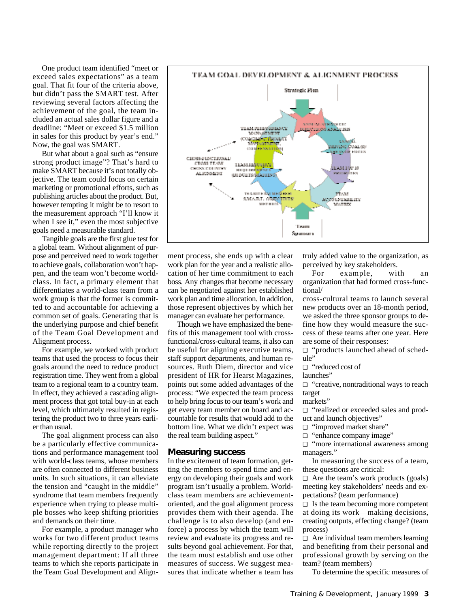One product team identified "meet or exceed sales expectations" as a team goal. That fit four of the criteria above, but didn't pass the SMART test. After reviewing several factors affecting the achievement of the goal, the team included an actual sales dollar figure and a deadline: "Meet or exceed \$1.5 million in sales for this product by year's end." Now, the goal was SMART.

But what about a goal such as "ensure strong product image"? That's hard to make SMART because it's not totally objective. The team could focus on certain marketing or promotional efforts, such as publishing articles about the product. But, however tempting it might be to resort to the measurement approach "I'll know it when I see it," even the most subjective goals need a measurable standard.

Tangible goals are the first glue test for a global team. Without alignment of purpose and perceived need to work together to achieve goals, collaboration won't happen, and the team won't become worldclass. In fact, a primary element that differentiates a world-class team from a work group is that the former is committed to and accountable for achieving a common set of goals. Generating that is the underlying purpose and chief benefit of the Team Goal Development and Alignment process.

For example, we worked with product teams that used the process to focus their goals around the need to reduce product registration time. They went from a global team to a regional team to a country team. In effect, they achieved a cascading alignment process that got total buy-in at each level, which ultimately resulted in registering the product two to three years earlier than usual.

The goal alignment process can also be a particularly effective communications and performance management tool with world-class teams, whose members are often connected to different business units. In such situations, it can alleviate the tension and "caught in the middle" syndrome that team members frequently experience when trying to please multiple bosses who keep shifting priorities and demands on their time.

For example, a product manager who works for two different product teams while reporting directly to the project management department: If all three teams to which she reports participate in the Team Goal Development and Align-



ment process, she ends up with a clear work plan for the year and a realistic allocation of her time commitment to each boss. Any changes that become necessary can be negotiated against her established work plan and time allocation. In addition, those represent objectives by which her manager can evaluate her performance.

Though we have emphasized the benefits of this management tool with crossfunctional/cross-cultural teams, it also can be useful for aligning executive teams, staff support departments, and human resources. Ruth Diem, director and vice president of HR for Hearst Magazines, points out some added advantages of the process: "We expected the team process to help bring focus to our team's work and get every team member on board and accountable for results that would add to the bottom line. What we didn't expect was the real team building aspect."

#### **Measuring success**

In the excitement of team formation, getting the members to spend time and energy on developing their goals and work program isn't usually a problem. Worldclass team members are achievementoriented, and the goal alignment process provides them with their agenda. The challenge is to also develop (and enforce) a process by which the team will review and evaluate its progress and results beyond goal achievement. For that, the team must establish and use other measures of success. We suggest measures that indicate whether a team has

truly added value to the organization, as perceived by key stakeholders.

For example, with an organization that had formed cross-functional/

cross-cultural teams to launch several new products over an 18-month period, we asked the three sponsor groups to define how they would measure the success of these teams after one year. Here are some of their responses:

❑ "products launched ahead of schedule"

❑ "reduced cost of

launches"

❑ "creative, nontraditional ways to reach target

markets"

❑ "realized or exceeded sales and product and launch objectives"

- ❑ "improved market share"
- ❑ "enhance company image"

❑ "more international awareness among managers."

In measuring the success of a team, these questions are critical:

❑ Are the team's work products (goals) meeting key stakeholders' needs and expectations? (team performance)

❑ Is the team becoming more competent at doing its work—making decisions, creating outputs, effecting change? (team process)

❑ Are individual team members learning and benefiting from their personal and professional growth by serving on the team? (team members)

To determine the specific measures of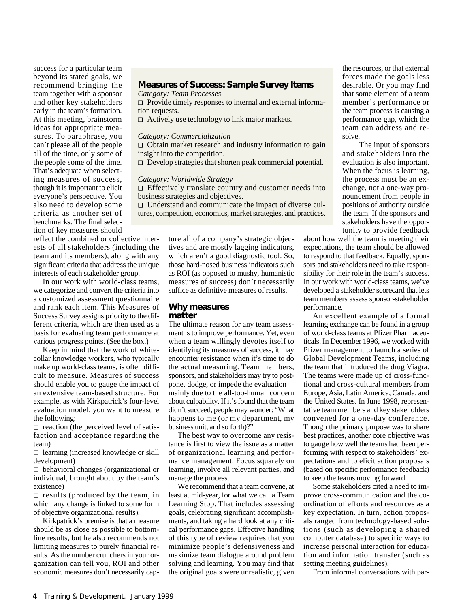success for a particular team beyond its stated goals, we recommend bringing the team together with a sponsor and other key stakeholders early in the team's formation. At this meeting, brainstorm ideas for appropriate measures. To paraphrase, you can't please all of the people all of the time, only some of the people some of the time. That's adequate when selecting measures of success, though it is important to elicit everyone's perspective. You also need to develop some criteria as another set of benchmarks. The final selection of key measures should

reflect the combined or collective interests of all stakeholders (including the team and its members), along with any significant criteria that address the unique interests of each stakeholder group.

In our work with world-class teams, we categorize and convert the criteria into a customized assessment questionnaire and rank each item. This Measures of Success Survey assigns priority to the different criteria, which are then used as a basis for evaluating team performance at various progress points. (See the box.)

Keep in mind that the work of whitecollar knowledge workers, who typically make up world-class teams, is often difficult to measure. Measures of success should enable you to gauge the impact of an extensive team-based structure. For example, as with Kirkpatrick's four-level evaluation model, you want to measure the following:

❑ reaction (the perceived level of satisfaction and acceptance regarding the team)

❑ learning (increased knowledge or skill development)

❑ behavioral changes (organizational or individual, brought about by the team's existence)

❑ results (produced by the team, in which any change is linked to some form of objective organizational results).

Kirkpatrick's premise is that a measure should be as close as possible to bottomline results, but he also recommends not limiting measures to purely financial results. As the number crunchers in your organization can tell you, ROI and other economic measures don't necessarily cap-

# **Measures of Success: Sample Survey Items**

*Category: Team Processes*

❑ Provide timely responses to internal and external information requests.

❑ Actively use technology to link major markets.

## *Category: Commercialization*

❑ Obtain market research and industry information to gain insight into the competition.

❑ Develop strategies that shorten peak commercial potential.

#### *Category: Worldwide Strategy*

❑ Effectively translate country and customer needs into business strategies and objectives.

❑ Understand and communicate the impact of diverse cultures, competition, economics, market strategies, and practices.

> ture all of a company's strategic objectives and are mostly lagging indicators, which aren't a good diagnostic tool. So, those hard-nosed business indicators such as ROI (as opposed to mushy, humanistic measures of success) don't necessarily suffice as definitive measures of results.

## **Why measures matter**

The ultimate reason for any team assessment is to improve performance. Yet, even when a team willingly devotes itself to identifying its measures of success, it may encounter resistance when it's time to do the actual measuring. Team members, sponsors, and stakeholders may try to postpone, dodge, or impede the evaluation mainly due to the all-too-human concern about culpability. If it's found that the team didn't succeed, people may wonder: "What happens to me (or my department, my business unit, and so forth)?"

The best way to overcome any resistance is first to view the issue as a matter of organizational learning and performance management. Focus squarely on learning, involve all relevant parties, and manage the process.

We recommend that a team convene, at least at mid-year, for what we call a Team Learning Stop. That includes assessing goals, celebrating significant accomplishments, and taking a hard look at any critical performance gaps. Effective handling of this type of review requires that you minimize people's defensiveness and maximize team dialogue around problem solving and learning. You may find that the original goals were unrealistic, given

the resources, or that external forces made the goals less desirable. Or you may find that some element of a team member's performance or the team process is causing a performance gap, which the team can address and resolve.

The input of sponsors and stakeholders into the evaluation is also important. When the focus is learning, the process must be an exchange, not a one-way pronouncement from people in positions of authority outside the team. If the sponsors and stakeholders have the opportunity to provide feedback

about how well the team is meeting their expectations, the team should be allowed to respond to that feedback. Equally, sponsors and stakeholders need to take responsibility for their role in the team's success. In our work with world-class teams, we've developed a stakeholder scorecard that lets team members assess sponsor-stakeholder performance.

An excellent example of a formal learning exchange can be found in a group of world-class teams at Pfizer Pharmaceuticals. In December 1996, we worked with Pfizer management to launch a series of Global Development Teams, including the team that introduced the drug Viagra. The teams were made up of cross-functional and cross-cultural members from Europe, Asia, Latin America, Canada, and the United States. In June 1998, representative team members and key stakeholders convened for a one-day conference. Though the primary purpose was to share best practices, another core objective was to gauge how well the teams had been performing with respect to stakeholders' expectations and to elicit action proposals (based on specific performance feedback) to keep the teams moving forward.

Some stakeholders cited a need to improve cross-communication and the coordination of efforts and resources as a key expectation. In turn, action proposals ranged from technology-based solutions (such as developing a shared computer database) to specific ways to increase personal interaction for education and information transfer (such as setting meeting guidelines).

From informal conversations with par-